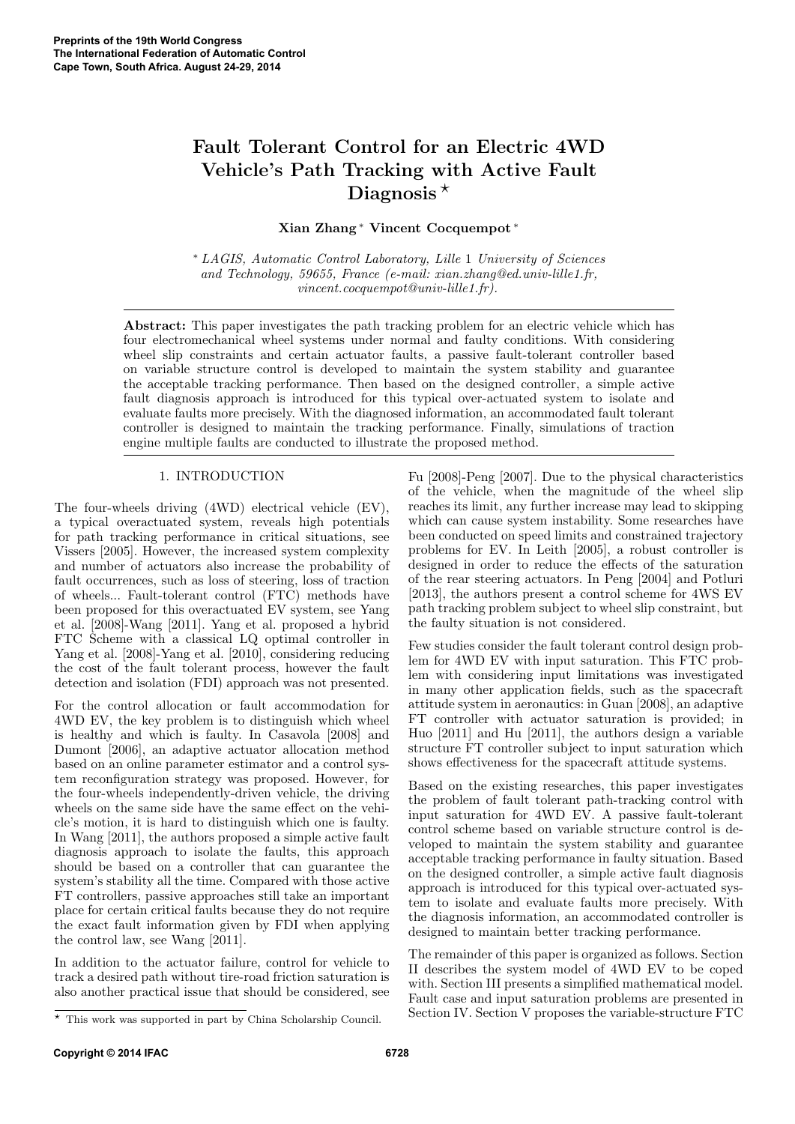# Fault Tolerant Control for an Electric 4WD Vehicle's Path Tracking with Active Fault Diagnosis $\star$

Xian Zhang <sup>∗</sup> Vincent Cocquempot <sup>∗</sup>

<sup>∗</sup> LAGIS, Automatic Control Laboratory, Lille 1 University of Sciences and Technology, 59655, France (e-mail: xian.zhang@ed.univ-lille1.fr, vincent.cocquempot@univ-lille1.fr).

Abstract: This paper investigates the path tracking problem for an electric vehicle which has four electromechanical wheel systems under normal and faulty conditions. With considering wheel slip constraints and certain actuator faults, a passive fault-tolerant controller based on variable structure control is developed to maintain the system stability and guarantee the acceptable tracking performance. Then based on the designed controller, a simple active fault diagnosis approach is introduced for this typical over-actuated system to isolate and evaluate faults more precisely. With the diagnosed information, an accommodated fault tolerant controller is designed to maintain the tracking performance. Finally, simulations of traction engine multiple faults are conducted to illustrate the proposed method.

# 1. INTRODUCTION

The four-wheels driving (4WD) electrical vehicle (EV), a typical overactuated system, reveals high potentials for path tracking performance in critical situations, see Vissers [2005]. However, the increased system complexity and number of actuators also increase the probability of fault occurrences, such as loss of steering, loss of traction of wheels... Fault-tolerant control (FTC) methods have been proposed for this overactuated EV system, see Yang et al. [2008]-Wang [2011]. Yang et al. proposed a hybrid FTC Scheme with a classical LQ optimal controller in Yang et al. [2008]-Yang et al. [2010], considering reducing the cost of the fault tolerant process, however the fault detection and isolation (FDI) approach was not presented.

For the control allocation or fault accommodation for 4WD EV, the key problem is to distinguish which wheel is healthy and which is faulty. In Casavola [2008] and Dumont [2006], an adaptive actuator allocation method based on an online parameter estimator and a control system reconfiguration strategy was proposed. However, for the four-wheels independently-driven vehicle, the driving wheels on the same side have the same effect on the vehicle's motion, it is hard to distinguish which one is faulty. In Wang [2011], the authors proposed a simple active fault diagnosis approach to isolate the faults, this approach should be based on a controller that can guarantee the system's stability all the time. Compared with those active FT controllers, passive approaches still take an important place for certain critical faults because they do not require the exact fault information given by FDI when applying the control law, see Wang [2011].

In addition to the actuator failure, control for vehicle to track a desired path without tire-road friction saturation is also another practical issue that should be considered, see Fu [2008]-Peng [2007]. Due to the physical characteristics of the vehicle, when the magnitude of the wheel slip reaches its limit, any further increase may lead to skipping which can cause system instability. Some researches have been conducted on speed limits and constrained trajectory problems for EV. In Leith [2005], a robust controller is designed in order to reduce the effects of the saturation of the rear steering actuators. In Peng [2004] and Potluri [2013], the authors present a control scheme for 4WS EV path tracking problem subject to wheel slip constraint, but the faulty situation is not considered.

Few studies consider the fault tolerant control design problem for 4WD EV with input saturation. This FTC problem with considering input limitations was investigated in many other application fields, such as the spacecraft attitude system in aeronautics: in Guan [2008], an adaptive FT controller with actuator saturation is provided; in Huo [2011] and Hu [2011], the authors design a variable structure FT controller subject to input saturation which shows effectiveness for the spacecraft attitude systems.

Based on the existing researches, this paper investigates the problem of fault tolerant path-tracking control with input saturation for 4WD EV. A passive fault-tolerant control scheme based on variable structure control is developed to maintain the system stability and guarantee acceptable tracking performance in faulty situation. Based on the designed controller, a simple active fault diagnosis approach is introduced for this typical over-actuated system to isolate and evaluate faults more precisely. With the diagnosis information, an accommodated controller is designed to maintain better tracking performance.

The remainder of this paper is organized as follows. Section II describes the system model of 4WD EV to be coped with. Section III presents a simplified mathematical model. Fault case and input saturation problems are presented in Section IV. Section V proposes the variable-structure FTC

 $\overline{\star}$  This work was supported in part by China Scholarship Council.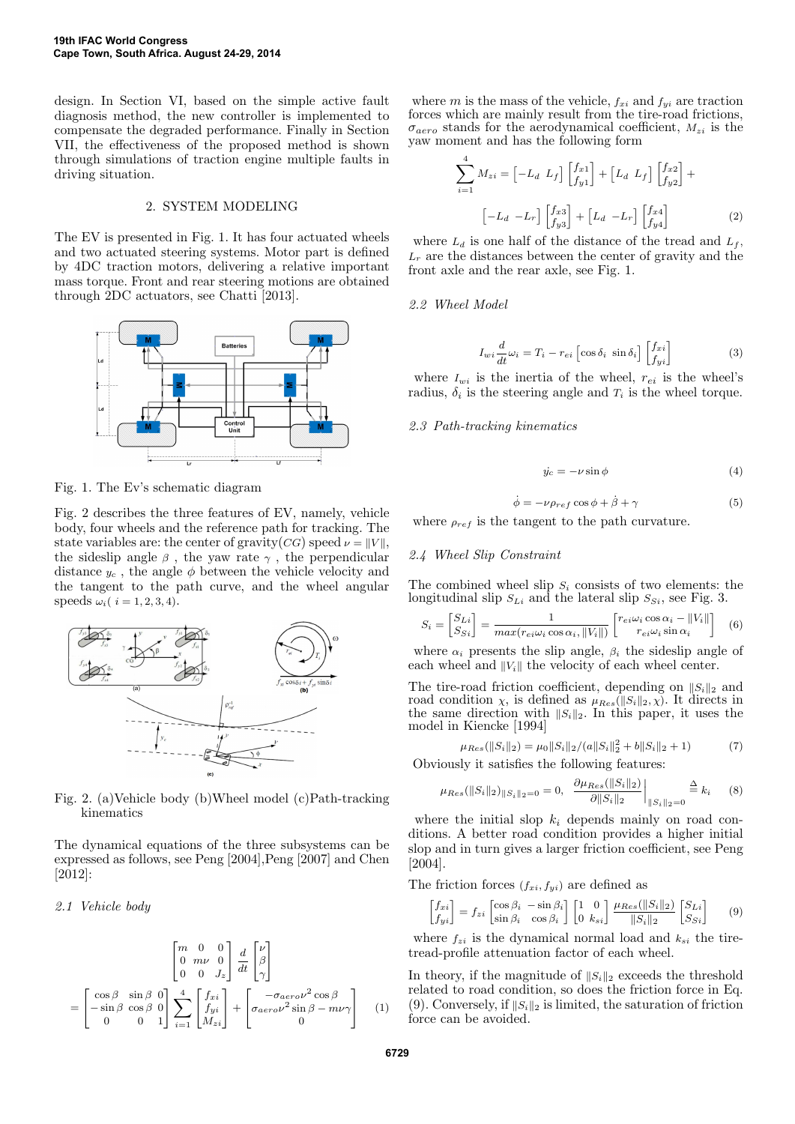design. In Section VI, based on the simple active fault diagnosis method, the new controller is implemented to compensate the degraded performance. Finally in Section VII, the effectiveness of the proposed method is shown through simulations of traction engine multiple faults in driving situation.

#### 2. SYSTEM MODELING

The EV is presented in Fig. 1. It has four actuated wheels and two actuated steering systems. Motor part is defined by 4DC traction motors, delivering a relative important mass torque. Front and rear steering motions are obtained through 2DC actuators, see Chatti [2013].



Fig. 1. The Ev's schematic diagram

Fig. 2 describes the three features of EV, namely, vehicle body, four wheels and the reference path for tracking. The state variables are: the center of gravity(CG) speed  $\nu = ||V||$ , the sideslip angle  $\beta$ , the yaw rate  $\gamma$ , the perpendicular distance  $y_c$ , the angle  $\phi$  between the vehicle velocity and the tangent to the path curve, and the wheel angular speeds  $\omega_i$  (  $i = 1, 2, 3, 4$ ).



Fig. 2. (a)Vehicle body (b)Wheel model (c)Path-tracking kinematics

The dynamical equations of the three subsystems can be expressed as follows, see Peng [2004],Peng [2007] and Chen [2012]:

2.1 Vehicle body

$$
\begin{bmatrix}\nm & 0 & 0 \\
0 & m\nu & 0 \\
0 & 0 & J_z\n\end{bmatrix}\n\frac{d}{dt}\n\begin{bmatrix}\nu \\
\beta \\
\gamma\n\end{bmatrix}
$$
\n
$$
= \begin{bmatrix}\n\cos\beta & \sin\beta & 0 \\
-\sin\beta & \cos\beta & 0 \\
0 & 0 & 1\n\end{bmatrix}\n\sum_{i=1}^{4}\n\begin{bmatrix}\nf_{xi} \\
f_{yi} \\
M_{zi}\n\end{bmatrix} + \begin{bmatrix}\n-\sigma_{aero}\nu^2\cos\beta \\
\sigma_{aero}\nu^2\sin\beta - m\nu\gamma \\
0\n\end{bmatrix} \quad (1)
$$

where m is the mass of the vehicle,  $f_{xi}$  and  $f_{yi}$  are traction forces which are mainly result from the tire-road frictions,  $\sigma_{aero}$  stands for the aerodynamical coefficient,  $M_{zi}$  is the yaw moment and has the following form

$$
\sum_{i=1}^{4} M_{zi} = \begin{bmatrix} -L_d & L_f \end{bmatrix} \begin{bmatrix} f_{x1} \\ f_{y1} \end{bmatrix} + \begin{bmatrix} L_d & L_f \end{bmatrix} \begin{bmatrix} f_{x2} \\ f_{y2} \end{bmatrix} + \begin{bmatrix} -L_d & -L_r \end{bmatrix} \begin{bmatrix} f_{x3} \\ f_{y3} \end{bmatrix} + \begin{bmatrix} L_d & -L_r \end{bmatrix} \begin{bmatrix} f_{x4} \\ f_{y4} \end{bmatrix} \tag{2}
$$

where  $L_d$  is one half of the distance of the tread and  $L_f$ ,  $L_r$  are the distances between the center of gravity and the front axle and the rear axle, see Fig. 1.

#### 2.2 Wheel Model

$$
I_{wi}\frac{d}{dt}\omega_i = T_i - r_{ei} \left[ \cos \delta_i \sin \delta_i \right] \begin{bmatrix} f_{xi} \\ f_{yi} \end{bmatrix}
$$
 (3)

where  $I_{wi}$  is the inertia of the wheel,  $r_{ei}$  is the wheel's radius,  $\delta_i$  is the steering angle and  $T_i$  is the wheel torque.

#### 2.3 Path-tracking kinematics

$$
\dot{y_c} = -\nu \sin \phi \tag{4}
$$

$$
\dot{\phi} = -\nu \rho_{ref} \cos \phi + \dot{\beta} + \gamma \tag{5}
$$

where  $\rho_{ref}$  is the tangent to the path curvature.

#### 2.4 Wheel Slip Constraint

The combined wheel slip  $S_i$  consists of two elements: the longitudinal slip  $S_{Li}$  and the lateral slip  $S_{Si}$ , see Fig. 3.

$$
S_i = \begin{bmatrix} S_{Li} \\ S_{Si} \end{bmatrix} = \frac{1}{max(r_{ei}\omega_i \cos \alpha_i, ||V_i||)} \begin{bmatrix} r_{ei}\omega_i \cos \alpha_i - ||V_i|| \\ r_{ei}\omega_i \sin \alpha_i \end{bmatrix} \quad (6)
$$

where  $\alpha_i$  presents the slip angle,  $\beta_i$  the sideslip angle of each wheel and  $||V_i||$  the velocity of each wheel center.

The tire-road friction coefficient, depending on  $||S_i||_2$  and road condition  $\chi$ , is defined as  $\mu_{Res}(\Vert S_i \Vert_2, \chi)$ . It directs in the same direction with  $||S_i||_2$ . In this paper, it uses the model in Kiencke [1994]

$$
\mu_{Res}(\|S_i\|_2) = \mu_0 \|S_i\|_2 / (a \|S_i\|_2^2 + b \|S_i\|_2 + 1)
$$
\n(7)

Obviously it satisfies the following features:

$$
\mu_{Res}(\|S_i\|_2)_{\|S_i\|_2=0} = 0, \left. \frac{\partial \mu_{Res}(\|S_i\|_2)}{\partial \|S_i\|_2} \right|_{\|S_i\|_2=0} \stackrel{\Delta}{=} k_i \quad (8)
$$

where the initial slop  $k_i$  depends mainly on road conditions. A better road condition provides a higher initial slop and in turn gives a larger friction coefficient, see Peng [2004].

The friction forces  $(f_{xi}, f_{yi})$  are defined as

$$
\begin{bmatrix} f_{xi} \\ f_{yi} \end{bmatrix} = f_{zi} \begin{bmatrix} \cos \beta_i & -\sin \beta_i \\ \sin \beta_i & \cos \beta_i \end{bmatrix} \begin{bmatrix} 1 & 0 \\ 0 & k_{si} \end{bmatrix} \frac{\mu_{Res}(\|S_i\|_2)}{\|S_i\|_2} \begin{bmatrix} S_{Li} \\ S_{Si} \end{bmatrix}
$$
(9)

where  $f_{zi}$  is the dynamical normal load and  $k_{si}$  the tiretread-profile attenuation factor of each wheel.

In theory, if the magnitude of  $||S_i||_2$  exceeds the threshold related to road condition, so does the friction force in Eq. (9). Conversely, if  $||S_i||_2$  is limited, the saturation of friction force can be avoided.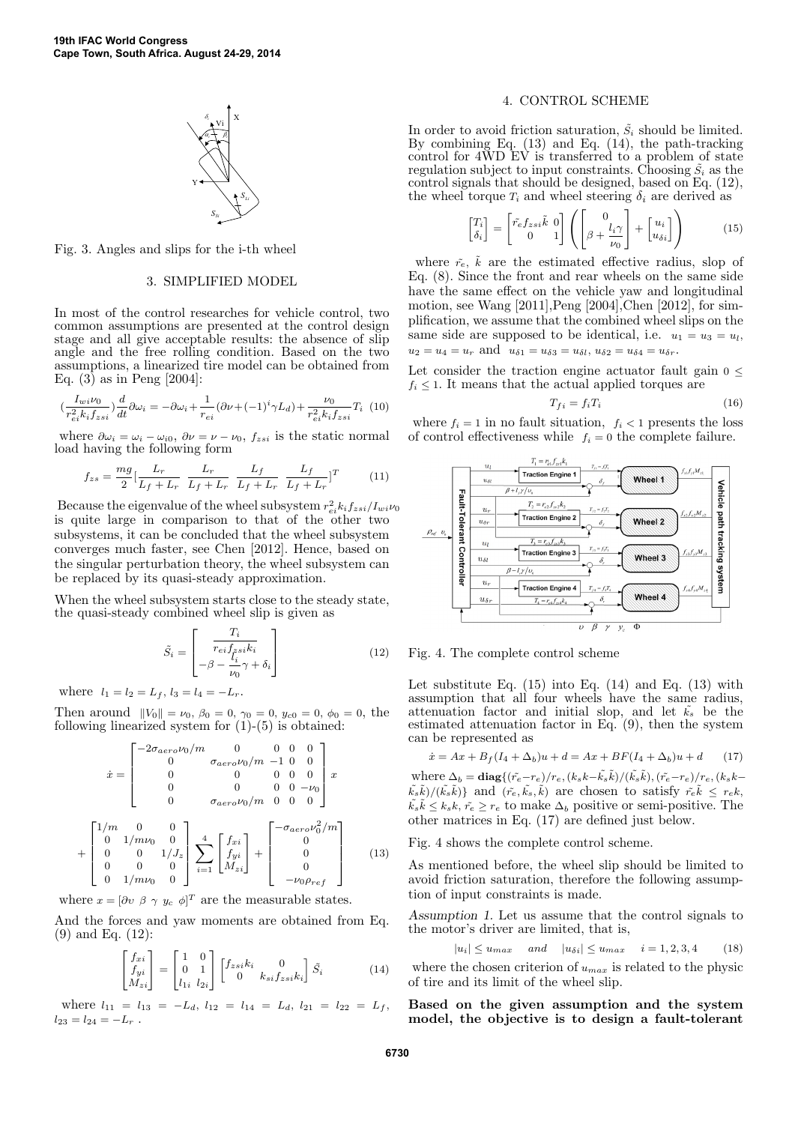

Fig. 3. Angles and slips for the i-th wheel

## 3. SIMPLIFIED MODEL

In most of the control researches for vehicle control, two common assumptions are presented at the control design stage and all give acceptable results: the absence of slip angle and the free rolling condition. Based on the two assumptions, a linearized tire model can be obtained from Eq.  $(3)$  as in Peng [2004]:

$$
(\frac{I_{wi}\nu_0}{r_{ei}^2k_if_{zsi}})\frac{d}{dt}\partial\omega_i=-\partial\omega_i+\frac{1}{r_{ei}}(\partial\nu+(-1)^i\gamma L_d)+\frac{\nu_0}{r_{ei}^2k_if_{zsi}}T_i\eqno(10)
$$

where  $\partial \omega_i = \omega_i - \omega_{i0}, \ \partial \nu = \nu - \nu_0, \ f_{zsi}$  is the static normal load having the following form

$$
f_{zs} = \frac{mg}{2} \left[ \frac{L_r}{L_f + L_r} \frac{L_r}{L_f + L_r} \frac{L_f}{L_f + L_r} \frac{L_f}{L_f + L_r} \right]^T
$$
 (11)

Because the eigenvalue of the wheel subsystem  $r_{ei}^2 k_i f_{zsi}/I_{wi} \nu_0$ is quite large in comparison to that of the other two subsystems, it can be concluded that the wheel subsystem converges much faster, see Chen [2012]. Hence, based on the singular perturbation theory, the wheel subsystem can be replaced by its quasi-steady approximation.

When the wheel subsystem starts close to the steady state, the quasi-steady combined wheel slip is given as

$$
\tilde{S}_i = \begin{bmatrix} T_i \\ \overline{r_{ei} f_{\tilde{f}} s_i k_i} \\ -\beta - \frac{t_i}{\nu_0} \gamma + \delta_i \end{bmatrix}
$$
\n(12)

where  $l_1 = l_2 = L_f$ ,  $l_3 = l_4 = -L_r$ .

Then around  $||V_0|| = \nu_0$ ,  $\beta_0 = 0$ ,  $\gamma_0 = 0$ ,  $y_{c0} = 0$ ,  $\phi_0 = 0$ , the following linearized system for  $(1)-(5)$  is obtained:

$$
\dot{x} = \begin{bmatrix}\n-2\sigma_{aero}\nu_0/m & 0 & 0 & 0 & 0 \\
0 & \sigma_{aero}\nu_0/m & -1 & 0 & 0 \\
0 & 0 & 0 & 0 & 0 \\
0 & 0 & 0 & 0 & -\nu_0 \\
0 & \sigma_{aero}\nu_0/m & 0 & 0 & 0\n\end{bmatrix} x
$$
\n
$$
+ \begin{bmatrix}\n1/m & 0 & 0 \\
0 & 1/m\nu_0 & 0 \\
0 & 0 & 1/J_z \\
0 & 0 & 0 \\
0 & 1/m\nu_0 & 0\n\end{bmatrix} \sum_{i=1}^4 \begin{bmatrix}\nf_{xi} \\
f_{yi} \\
M_{zi}\n\end{bmatrix} + \begin{bmatrix}\n-\sigma_{aero}\nu_0^2/m \\
0 \\
0 \\
0 \\
-\nu_0\rho_{ref}\n\end{bmatrix}
$$
\n(13)

where  $x = [\partial v \, \beta \, \gamma \, y_c \, \phi]^T$  are the measurable states.

And the forces and yaw moments are obtained from Eq. (9) and Eq. (12):

$$
\begin{bmatrix} f_{xi} \\ f_{yi} \\ M_{zi} \end{bmatrix} = \begin{bmatrix} 1 & 0 \\ 0 & 1 \\ l_{1i} & l_{2i} \end{bmatrix} \begin{bmatrix} f_{zsi}k_i & 0 \\ 0 & k_{si}f_{zsi}k_i \end{bmatrix} \tilde{S}_i
$$
(14)

where  $l_{11} = l_{13} = -L_d$ ,  $l_{12} = l_{14} = L_d$ ,  $l_{21} = l_{22} = L_f$ ,  $l_{23} = l_{24} = -L_r$ .

## 4. CONTROL SCHEME

In order to avoid friction saturation,  $\tilde{S}_i$  should be limited. By combining Eq. (13) and Eq. (14), the path-tracking control for 4WD EV is transferred to a problem of state regulation subject to input constraints. Choosing  $\tilde{S}_i$  as the control signals that should be designed, based on Eq. (12), the wheel torque  $T_i$  and wheel steering  $\delta_i$  are derived as

$$
\begin{bmatrix} T_i \\ \delta_i \end{bmatrix} = \begin{bmatrix} \tilde{r}_e f_{zsi} \tilde{k} & 0 \\ 0 & 1 \end{bmatrix} \left( \begin{bmatrix} 0 \\ \beta + \frac{l_i \gamma}{\nu_0} \end{bmatrix} + \begin{bmatrix} u_i \\ u_{\delta i} \end{bmatrix} \right) \tag{15}
$$

where  $\tilde{r}_e$ ,  $\tilde{k}$  are the estimated effective radius, slop of Eq. (8). Since the front and rear wheels on the same side have the same effect on the vehicle yaw and longitudinal motion, see Wang [2011],Peng [2004],Chen [2012], for simplification, we assume that the combined wheel slips on the same side are supposed to be identical, i.e.  $u_1 = u_3 = u_l$ ,  $u_2 = u_4 = u_r$  and  $u_{\delta 1} = u_{\delta 3} = u_{\delta l}, u_{\delta 2} = u_{\delta 4} = u_{\delta r}.$ 

Let consider the traction engine actuator fault gain  $0 \leq$  $f_i \leq 1$ . It means that the actual applied torques are

$$
T_{fi} = f_i T_i \tag{16}
$$

where  $f_i = 1$  in no fault situation,  $f_i < 1$  presents the loss of control effectiveness while  $f_i = 0$  the complete failure.



Fig. 4. The complete control scheme

Let substitute Eq.  $(15)$  into Eq.  $(14)$  and Eq.  $(13)$  with assumption that all four wheels have the same radius, attenuation factor and initial slop, and let  $\tilde{k_s}$  be the estimated attenuation factor in Eq. (9), then the system can be represented as

$$
\dot{x} = Ax + B_f(I_4 + \Delta_b)u + d = Ax + BF(I_4 + \Delta_b)u + d \qquad (17)
$$

where  $\Delta_b = \text{diag}\{(\tilde{r}_e-r_e)/r_e, (k_sk-\tilde{k_s}\tilde{k})/(\tilde{k_s}\tilde{k}), (\tilde{r}_e-r_e)/r_e, (k_sk-\tilde{k})\}$  $(\tilde{k}_s\tilde{k})/(\tilde{k}_s\tilde{k})\}$  and  $(\tilde{r}_e, \tilde{k}_s, \tilde{k})$  are chosen to satisfy  $\tilde{r}_e\tilde{k} \leq r_e k$ ,  $\tilde{k}_s\tilde{k} \leq k_sk, \tilde{r}_e \geq r_e$  to make  $\Delta_b$  positive or semi-positive. The other matrices in Eq. (17) are defined just below.

Fig. 4 shows the complete control scheme.

As mentioned before, the wheel slip should be limited to avoid friction saturation, therefore the following assumption of input constraints is made.

Assumption 1. Let us assume that the control signals to the motor's driver are limited, that is,

 $|u_i| \le u_{max}$  and  $|u_{\delta i}| \le u_{max}$   $i = 1, 2, 3, 4$  (18)

where the chosen criterion of  $u_{max}$  is related to the physic of tire and its limit of the wheel slip.

Based on the given assumption and the system model, the objective is to design a fault-tolerant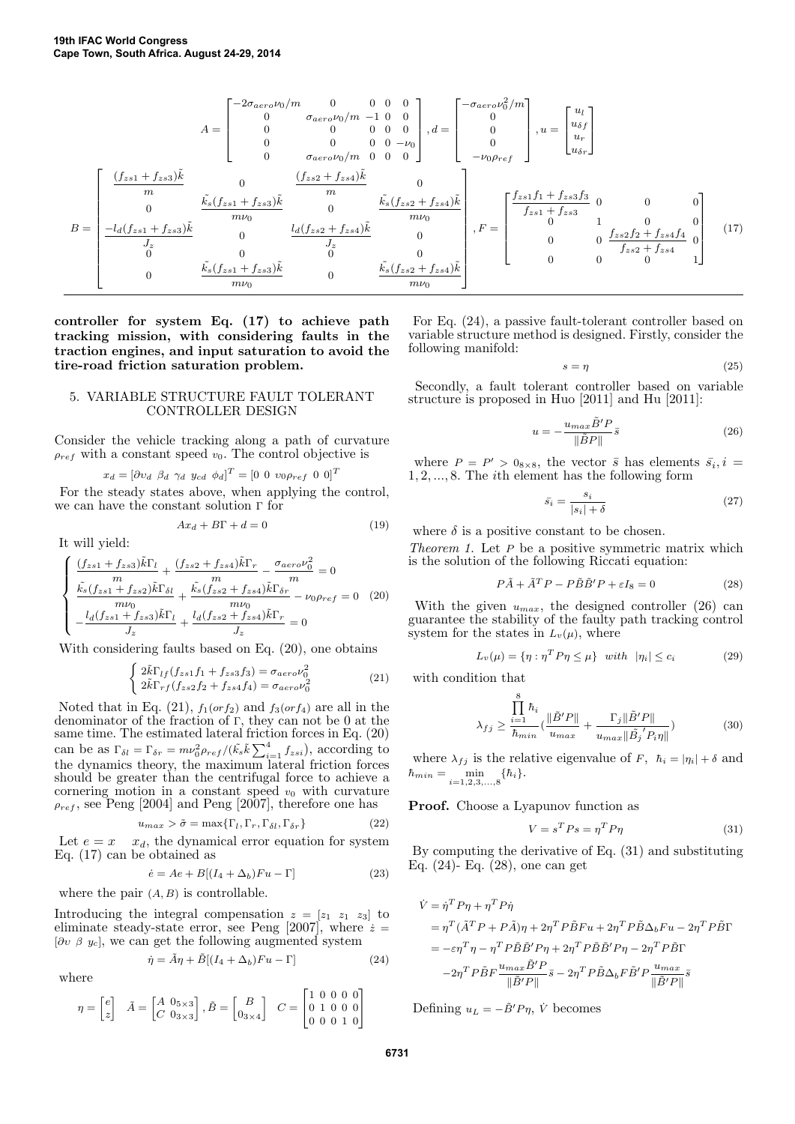$$
A = \begin{bmatrix} -2\sigma_{aero}\nu_0/m & 0 & 0 & 0 & 0 \\ 0 & \sigma_{aero}\nu_0/m & -1 & 0 & 0 \\ 0 & 0 & 0 & 0 & 0 \\ 0 & 0 & 0 & 0 & -\nu_0 \\ 0 & \sigma_{aero}\nu_0/m & 0 & 0 & 0 \end{bmatrix}, d = \begin{bmatrix} -\sigma_{aero}\nu_0^2/m \\ 0 \\ 0 \\ -\nu_0\rho_{ref} \end{bmatrix}, u = \begin{bmatrix} u_l \\ u_{\delta f} \\ u_{\delta r} \end{bmatrix}
$$

$$
B = \begin{bmatrix} \frac{(f_{zs1} + f_{zs3})\tilde{k}}{m} & 0 & \frac{(f_{zs2} + f_{zs4})\tilde{k}}{m} & 0 \\ 0 & \frac{k_s(f_{zs1} + f_{zs3})\tilde{k}}{m} & 0 & \frac{k_s(f_{zs2} + f_{zs4})\tilde{k}}{m\nu_0} \\ 0 & \frac{1}{J_z} & 0 & \frac{1}{J_z} \\ 0 & 0 & 0 & 0 \\ 0 & 0 & 0 & 0 \\ 0 & 0 & 0 & 0 \end{bmatrix}, F = \begin{bmatrix} \frac{f_{zs1}f_1 + f_{zs3}f_3}{m} & 0 & 0 & 0 \\ 0 & 0 & 0 & 0 \\ 0 & 0 & 0 & 0 \\ 0 & 0 & 0 & 0 \\ 0 & 0 & 0 & 0 \\ 0 & 0 & 0 & 0 \end{bmatrix}
$$
(17)

controller for system Eq. (17) to achieve path tracking mission, with considering faults in the traction engines, and input saturation to avoid the tire-road friction saturation problem.

## 5. VARIABLE STRUCTURE FAULT TOLERANT CONTROLLER DESIGN

Consider the vehicle tracking along a path of curvature  $\rho_{ref}$  with a constant speed  $v_0$ . The control objective is

$$
x_d = [\partial v_d \ \beta_d \ \gamma_d \ y_{cd} \ \phi_d]^T = [0 \ 0 \ v_0 \rho_{ref} \ 0 \ 0]^T
$$
  
For the steady states above, when applying the control,  
we can have the constant solution  $\Gamma$  for

 $Ax_d + B\Gamma + d = 0$  (19)

It will yield:

$$
\begin{cases}\n\frac{(f_{z s 1} + f_{z s 3}) \tilde{k} \Gamma_l}{m} + \frac{(f_{z s 2} + f_{z s 4}) \tilde{k} \Gamma_r}{m} - \frac{\sigma_{a e r o} \nu_0^2}{m} = 0\\ \n\frac{\tilde{k_s} (f_{z s 1} + f_{z s 2}) \tilde{k} \Gamma_{\delta l}}{m \nu_0} + \frac{\tilde{k_s} (f_{z s 2} + f_{z s 4}) \tilde{k} \Gamma_{\delta r}}{m \nu_0} - \nu_0 \rho_{ref} = 0 \quad (20)\\ \n-\frac{l_d (f_{z s 1} + f_{z s 3}) \tilde{k} \Gamma_l}{J_z} + \frac{l_d (f_{z s 2} + f_{z s 4}) \tilde{k} \Gamma_r}{J_z} = 0\n\end{cases}
$$

With considering faults based on Eq. (20), one obtains

$$
\begin{cases}\n2\tilde{k}\Gamma_{lf}(f_{zs1}f_1 + f_{zs3}f_3) = \sigma_{aero}\nu_0^2 \\
2\tilde{k}\Gamma_{rf}(f_{zs2}f_2 + f_{zs4}f_4) = \sigma_{aero}\nu_0^2\n\end{cases}
$$
\n(21)

Noted that in Eq. (21),  $f_1(orf_2)$  and  $f_3(orf_4)$  are all in the denominator of the fraction of Γ, they can not be 0 at the same time. The estimated lateral friction forces in Eq. (20) can be as  $\Gamma_{\delta l} = \Gamma_{\delta r} = m\nu_0^2 \rho_{ref} / (\tilde{k}_s \tilde{k} \sum_{i=1}^4 f_{zsi})$ , according to the dynamics theory, the maximum lateral friction forces should be greater than the centrifugal force to achieve a cornering motion in a constant speed  $v_0$  with curvature  $\rho_{ref}$ , see Peng [2004] and Peng [2007], therefore one has

$$
u_{max} > \tilde{\sigma} = \max\{\Gamma_l, \Gamma_r, \Gamma_{\delta l}, \Gamma_{\delta r}\}
$$
 (22)

Let  $e = x - x_d$ , the dynamical error equation for system Eq. (17) can be obtained as

$$
\dot{e} = Ae + B[(I_4 + \Delta_b)Fu - \Gamma]
$$
\n(23)

where the pair  $(A, B)$  is controllable.

where

Introducing the integral compensation  $z = \begin{bmatrix} z_1 & z_1 & z_3 \end{bmatrix}$  to eliminate steady-state error, see Peng [2007], where  $\dot{z} =$  $[\partial v \, \beta \, y_c]$ , we can get the following augmented system

$$
\dot{\eta} = \tilde{A}\eta + \tilde{B}[(I_4 + \Delta_b)Fu - \Gamma]
$$
\n(24)

$$
\eta = \begin{bmatrix} e \\ z \end{bmatrix} \quad \tilde{A} = \begin{bmatrix} A & 0_{5 \times 3} \\ C & 0_{3 \times 3} \end{bmatrix}, \tilde{B} = \begin{bmatrix} B \\ 0_{3 \times 4} \end{bmatrix} \quad C = \begin{bmatrix} 1 & 0 & 0 & 0 & 0 \\ 0 & 1 & 0 & 0 & 0 \\ 0 & 0 & 0 & 1 & 0 \end{bmatrix}
$$

For Eq. (24), a passive fault-tolerant controller based on variable structure method is designed. Firstly, consider the following manifold:

$$
s = \eta \tag{25}
$$

Secondly, a fault tolerant controller based on variable structure is proposed in Huo [2011] and Hu [2011]:

$$
u = -\frac{u_{max}\tilde{B}'P}{\|\tilde{B}P\|}\bar{s}
$$
\n(26)

where  $P = P' > 0_{8 \times 8}$ , the vector  $\bar{s}$  has elements  $\bar{s}_i, i =$ 1, 2, ..., 8. The ith element has the following form

$$
\bar{s_i} = \frac{s_i}{|s_i| + \delta} \tag{27}
$$

where  $\delta$  is a positive constant to be chosen.

Theorem 1. Let P be a positive symmetric matrix which is the solution of the following Riccati equation:

$$
P\tilde{A} + \tilde{A}^T P - P\tilde{B}\tilde{B}'P + \varepsilon I_8 = 0 \tag{28}
$$

With the given  $u_{max}$ , the designed controller (26) can guarantee the stability of the faulty path tracking control system for the states in  $L_v(\mu)$ , where

$$
L_v(\mu) = \{ \eta : \eta^T P \eta \le \mu \} \quad with \quad |\eta_i| \le c_i \tag{29}
$$

with condition that

$$
\lambda_{fj} \ge \frac{\prod_{i=1}^{8} \hbar_i}{\hbar_{min}} \left( \frac{\|\tilde{B}'P\|}{u_{max}} + \frac{\Gamma_j \|\tilde{B}'P\|}{u_{max} \|\tilde{B}_j' P_i \eta\|} \right)
$$
(30)

where  $\lambda_{fj}$  is the relative eigenvalue of F,  $\hbar_i = |\eta_i| + \delta$  and  $\hbar_{min} = \min_{i=1,2,3,...,8} {\{\hbar_i\}}.$ 

Proof. Choose a Lyapunov function as

$$
V = s^T P s = \eta^T P \eta \tag{31}
$$

By computing the derivative of Eq. (31) and substituting Eq. (24)- Eq. (28), one can get

$$
\begin{split} \dot{V} &= \dot{\eta}^T P \eta + \eta^T P \dot{\eta} \\ &= \eta^T (\tilde{A}^T P + P \tilde{A}) \eta + 2 \eta^T P \tilde{B} F u + 2 \eta^T P \tilde{B} \Delta_b F u - 2 \eta^T P \tilde{B} \Gamma \\ &= - \varepsilon \eta^T \eta - \eta^T P \tilde{B} \tilde{B}' P \eta + 2 \eta^T P \tilde{B} \tilde{B}' P \eta - 2 \eta^T P \tilde{B} \Gamma \\ &\quad - 2 \eta^T P \tilde{B} F \frac{u_{max} \tilde{B}' P}{\| \tilde{B}' P \|} \bar{s} - 2 \eta^T P \tilde{B} \Delta_b F \tilde{B}' P \frac{u_{max}}{\| \tilde{B}' P \|} \bar{s} \end{split}
$$

Defining  $u_L = -\tilde{B}'P\eta$ ,  $\dot{V}$  becomes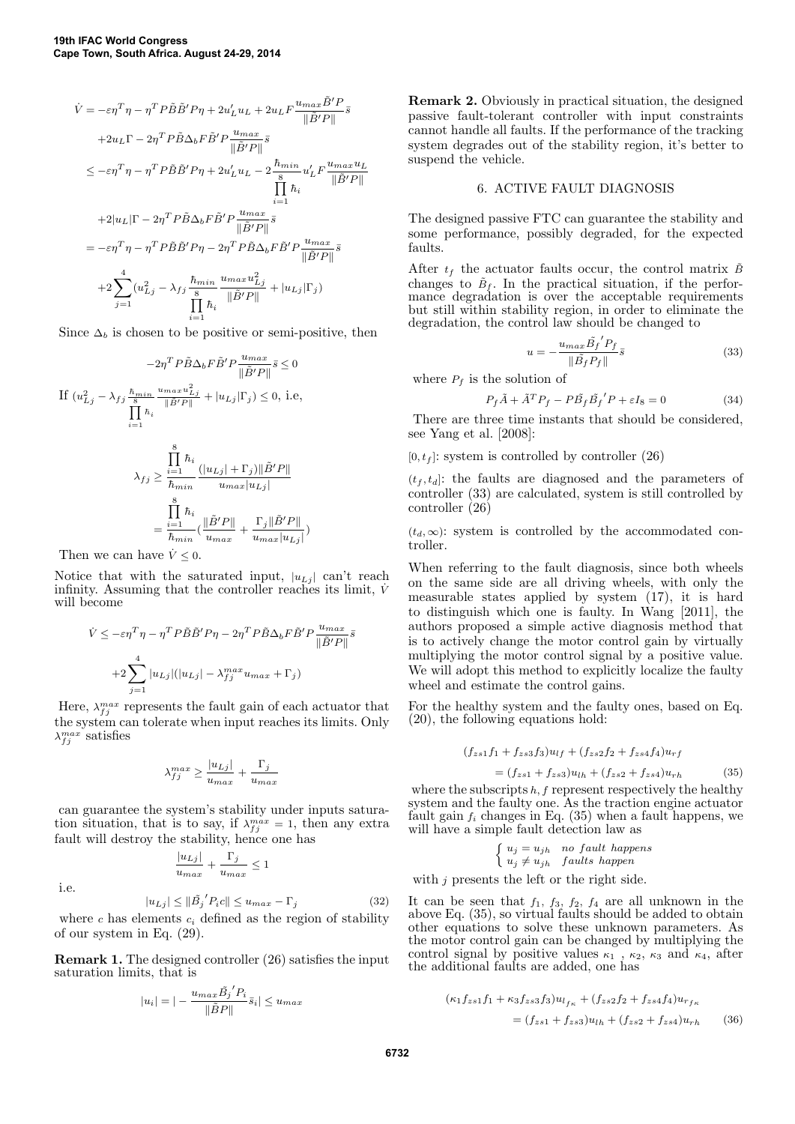$$
\begin{split} \dot{V} &= -\varepsilon\eta^T\eta - \eta^T P \tilde{B}\tilde{B}' P\eta + 2u_L'u_L + 2u_L F \frac{u_{max}\tilde{B}'P}{\|\tilde{B}'P\|} \bar{s} \\ &+ 2u_L\Gamma - 2\eta^T P \tilde{B}\Delta_b F \tilde{B}' P \frac{u_{max}}{\|\tilde{B}'P\|} \bar{s} \\ &\leq -\varepsilon\eta^T\eta - \eta^T P \tilde{B}\tilde{B}' P\eta + 2u_L'u_L - 2\frac{\hbar_{min}}{\mathrm{s}}u_L' F \frac{u_{max}u_L}{\|\tilde{B}'P\|} \\ &\qquad\prod_{i=1}^r \hbar_i \\ &+ 2|u_L|\Gamma - 2\eta^T P \tilde{B}\Delta_b F \tilde{B}' P \frac{u_{max}}{\|\tilde{B}'P\|} \bar{s} \\ &= -\varepsilon\eta^T\eta - \eta^T P \tilde{B}\tilde{B}' P\eta - 2\eta^T P \tilde{B}\Delta_b F \tilde{B}' P \frac{u_{max}}{\|\tilde{B}'P\|} \bar{s} \\ &+ 2\sum_{j=1}^4 (u_{Lj}^2 - \lambda_{fj} \frac{\hbar_{min}}{\mathrm{s}} \frac{u_{max}u_{Lj}^2}{\|\tilde{B}'P\|} + |u_{Lj}|\Gamma_j) \\ &\qquad\prod_{i=1}^4 \hbar_i \end{split}
$$

Since  $\Delta_b$  is chosen to be positive or semi-positive, then

$$
-2\eta^T P \tilde{B} \Delta_b F \tilde{B}' P \frac{u_{max}}{\|\tilde{B}'P\|} \bar{s} \le 0
$$
  
If  $(u_{Lj}^2 - \lambda_{fj} \frac{\hbar_{min}}{\|B\|} \frac{u_{max} u_{Lj}^2}{\|\tilde{B}'P\|} + |u_{Lj}|\Gamma_j) \le 0$ , i.e,  

$$
\prod_{i=1}^{\tilde{B}} \hbar_i
$$

$$
\lambda_{fj} \ge \frac{\prod_{i=1}^{\tilde{B}} \hbar_i}{\hbar_{min}} \frac{(|u_{Lj}| + \Gamma_j) \|\tilde{B}'P\|}{u_{max}|u_{Lj}|}
$$

$$
= \frac{\prod\limits_{i=1}^8 \hbar_i}{\hbar_{min}} (\frac{\|\tilde{B}'P\|}{u_{max}} + \frac{\Gamma_j \|\tilde{B}'P\|}{u_{max}|u_{Lj}|})
$$

Then we can have  $\dot{V} \leq 0$ .

Notice that with the saturated input,  $|u_{Lj}|$  can't reach infinity. Assuming that the controller reaches its limit,  $\dot{V}$ will become

$$
\dot{V} \le -\varepsilon \eta^T \eta - \eta^T P \tilde{B} \tilde{B}' P \eta - 2\eta^T P \tilde{B} \Delta_b F \tilde{B}' P \frac{u_{max}}{\|\tilde{B}'P\|} \bar{s}
$$

$$
+2 \sum_{j=1}^4 |u_{Lj}| (|u_{Lj}| - \lambda_{fj}^{max} u_{max} + \Gamma_j)
$$

Here,  $\lambda_{fj}^{max}$  represents the fault gain of each actuator that the system can tolerate when input reaches its limits. Only  $\lambda_{fj}^{max}$  satisfies

$$
\lambda_{fj}^{max} \geq \frac{|u_{Lj}|}{u_{max}} + \frac{\Gamma_j}{u_{max}}
$$

can guarantee the system's stability under inputs saturation situation, that is to say, if  $\lambda_{fj}^{max} = 1$ , then any extra fault will destroy the stability, hence one has

> $|u_{Lj}|$  $\frac{|u_{Lj}|}{u_{max}} + \frac{\Gamma_j}{u_{mc}}$  $\frac{y}{u_{max}} \leq 1$

i.e.

$$
|u_{Lj}| \leq ||\tilde{B_j}'P_i c|| \leq u_{max} - \Gamma_j \tag{32}
$$

where  $c$  has elements  $c_i$  defined as the region of stability of our system in Eq. (29).

Remark 1. The designed controller (26) satisfies the input saturation limits, that is

$$
|u_i| = |-\frac{u_{max}\tilde{B_j}'P_i}{\|\tilde{B}P\|}\bar{s}_i| \le u_{max}
$$

Remark 2. Obviously in practical situation, the designed passive fault-tolerant controller with input constraints cannot handle all faults. If the performance of the tracking system degrades out of the stability region, it's better to suspend the vehicle.

## 6. ACTIVE FAULT DIAGNOSIS

The designed passive FTC can guarantee the stability and some performance, possibly degraded, for the expected faults.

After  $t_f$  the actuator faults occur, the control matrix  $\tilde{B}$ changes to  $\tilde{B}_f$ . In the practical situation, if the performance degradation is over the acceptable requirements but still within stability region, in order to eliminate the degradation, the control law should be changed to

$$
u = -\frac{u_{max}\tilde{B}_f'P_f}{\|\tilde{B}_fP_f\|}\bar{s}
$$
\n(33)

where  $P_f$  is the solution of

$$
P_f \tilde{A} + \tilde{A}^T P_f - P \tilde{B}_f \tilde{B}_f' P + \varepsilon I_8 = 0 \tag{34}
$$

There are three time instants that should be considered, see Yang et al. [2008]:

 $[0, t<sub>f</sub>]$ : system is controlled by controller (26)

 $(t_f, t_d)$ : the faults are diagnosed and the parameters of controller (33) are calculated, system is still controlled by controller (26)

 $(t_d, \infty)$ : system is controlled by the accommodated controller.

When referring to the fault diagnosis, since both wheels on the same side are all driving wheels, with only the measurable states applied by system (17), it is hard to distinguish which one is faulty. In Wang [2011], the authors proposed a simple active diagnosis method that is to actively change the motor control gain by virtually multiplying the motor control signal by a positive value. We will adopt this method to explicitly localize the faulty wheel and estimate the control gains.

For the healthy system and the faulty ones, based on Eq. (20), the following equations hold:

$$
(f_{zs1}f_1 + f_{zs3}f_3)u_{lf} + (f_{zs2}f_2 + f_{zs4}f_4)u_{rf}
$$
  
= 
$$
(f_{zs1} + f_{zs3})u_{lh} + (f_{zs2} + f_{zs4})u_{rh}
$$
(35)

where the subscripts  $h, f$  represent respectively the healthy system and the faulty one. As the traction engine actuator fault gain  $f_i$  changes in Eq. (35) when a fault happens, we will have a simple fault detection law as

$$
\begin{cases} u_j = u_{jh} & no fault happens \\ u_j \neq u_{jh} & faults happen \end{cases}
$$

with *j* presents the left or the right side.

It can be seen that  $f_1$ ,  $f_3$ ,  $f_2$ ,  $f_4$  are all unknown in the above Eq. (35), so virtual faults should be added to obtain other equations to solve these unknown parameters. As the motor control gain can be changed by multiplying the control signal by positive values  $\kappa_1$ ,  $\kappa_2$ ,  $\kappa_3$  and  $\kappa_4$ , after the additional faults are added, one has

$$
(\kappa_1 f_{zs1} f_1 + \kappa_3 f_{zs3} f_3) u_{l_{fr}} + (f_{zs2} f_2 + f_{zs4} f_4) u_{r_{fr}}
$$
  
= 
$$
(f_{zs1} + f_{zs3}) u_{lh} + (f_{zs2} + f_{zs4}) u_{rh}
$$
 (36)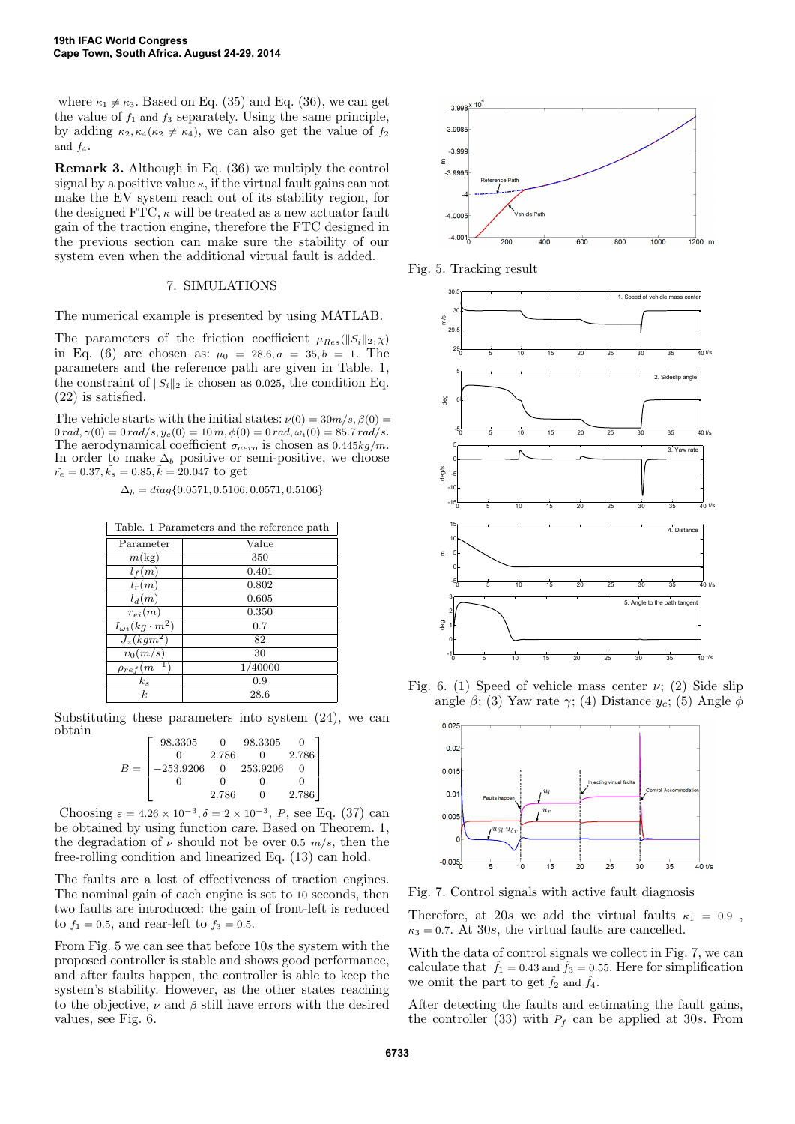where  $\kappa_1 \neq \kappa_3$ . Based on Eq. (35) and Eq. (36), we can get the value of  $f_1$  and  $f_3$  separately. Using the same principle, by adding  $\kappa_2, \kappa_4(\kappa_2 \neq \kappa_4)$ , we can also get the value of  $f_2$ and  $f_4$ .

Remark 3. Although in Eq. (36) we multiply the control signal by a positive value  $\kappa$ , if the virtual fault gains can not make the EV system reach out of its stability region, for the designed FTC,  $\kappa$  will be treated as a new actuator fault gain of the traction engine, therefore the FTC designed in the previous section can make sure the stability of our system even when the additional virtual fault is added.

# 7. SIMULATIONS

The numerical example is presented by using MATLAB.

The parameters of the friction coefficient  $\mu_{Res}(\|S_i\|_2, \chi)$ in Eq. (6) are chosen as:  $\mu_0 = 28.6, a = 35, b = 1$ . The parameters and the reference path are given in Table. 1, the constraint of  $||S_i||_2$  is chosen as 0.025, the condition Eq. (22) is satisfied.

The vehicle starts with the initial states:  $\nu(0) = 30m/s$ ,  $\beta(0) =$  $0 rad, \gamma(0) = 0 rad/s, y_c(0) = 10 m, \phi(0) = 0 rad, \omega_i(0) = 85.7 rad/s.$ The aerodynamical coefficient  $\sigma_{aero}$  is chosen as 0.445kg/m. In order to make  $\Delta_b$  positive or semi-positive, we choose  $\tilde{r}_e = 0.37, \tilde{k}_s = 0.85, \tilde{k} = 20.047$  to get

 $\Delta_b = diag\{0.0571, 0.5106, 0.0571, 0.5106\}$ 

| Table. 1 Parameters and the reference path |         |  |  |  |
|--------------------------------------------|---------|--|--|--|
| Parameter                                  | Value   |  |  |  |
| $m(\text{kg})$                             | 350     |  |  |  |
| $l_f(m)$                                   | 0.401   |  |  |  |
| $l_r(m)$                                   | 0.802   |  |  |  |
| $l_d(m)$                                   | 0.605   |  |  |  |
| $r_{ei}(m)$                                | 0.350   |  |  |  |
| $I_{\omega i}(kg\cdot m^2)$                | 0.7     |  |  |  |
| $J_z(kgm^2)$                               | 82      |  |  |  |
| $v_0(m/s)$                                 | 30      |  |  |  |
| $\rho_{ref}(m^{-1})$                       | 1/40000 |  |  |  |
| $k_s$                                      | 0.9     |  |  |  |
| k.                                         | 28.6    |  |  |  |

Substituting these parameters into system (24), we can obtain

|       | 98.3305     |                | 98.3305  |       |  |
|-------|-------------|----------------|----------|-------|--|
|       |             | 2.786          |          | 2.786 |  |
| $B =$ | $-253.9206$ | $\overline{0}$ | 253.9206 |       |  |
|       |             |                |          |       |  |
|       |             | 2.786          |          | 2.786 |  |

Choosing  $\varepsilon = 4.26 \times 10^{-3}, \delta = 2 \times 10^{-3}, P$ , see Eq. (37) can be obtained by using function care. Based on Theorem. 1, the degradation of  $\nu$  should not be over 0.5 m/s, then the free-rolling condition and linearized Eq. (13) can hold.

The faults are a lost of effectiveness of traction engines. The nominal gain of each engine is set to 10 seconds, then two faults are introduced: the gain of front-left is reduced to  $f_1 = 0.5$ , and rear-left to  $f_3 = 0.5$ .

From Fig. 5 we can see that before 10s the system with the proposed controller is stable and shows good performance, and after faults happen, the controller is able to keep the system's stability. However, as the other states reaching to the objective,  $\nu$  and  $\beta$  still have errors with the desired values, see Fig. 6.



Fig. 5. Tracking result



angle  $\beta$ ; (3) Yaw rate  $\gamma$ ; (4) Distance  $y_c$ ; (5) Angle  $\phi$ Fig. 6. (1) Speed of vehicle mass center  $\nu$ ; (2) Side slip



Fig. 7. Control signals with active fault diagnosis

Therefore, at 20s we add the virtual faults  $\kappa_1 = 0.9$ ,  $\kappa_3 = 0.7$ . At 30s, the virtual faults are cancelled.

With the data of control signals we collect in Fig. 7, we can calculate that  $\hat{f}_1 = 0.43$  and  $\hat{f}_3 = 0.55$ . Here for simplification we omit the part to get  $\hat{f}_2$  and  $\hat{f}_4$ .

After detecting the faults and estimating the fault gains, the controller (33) with  $P_f$  can be applied at 30s. From